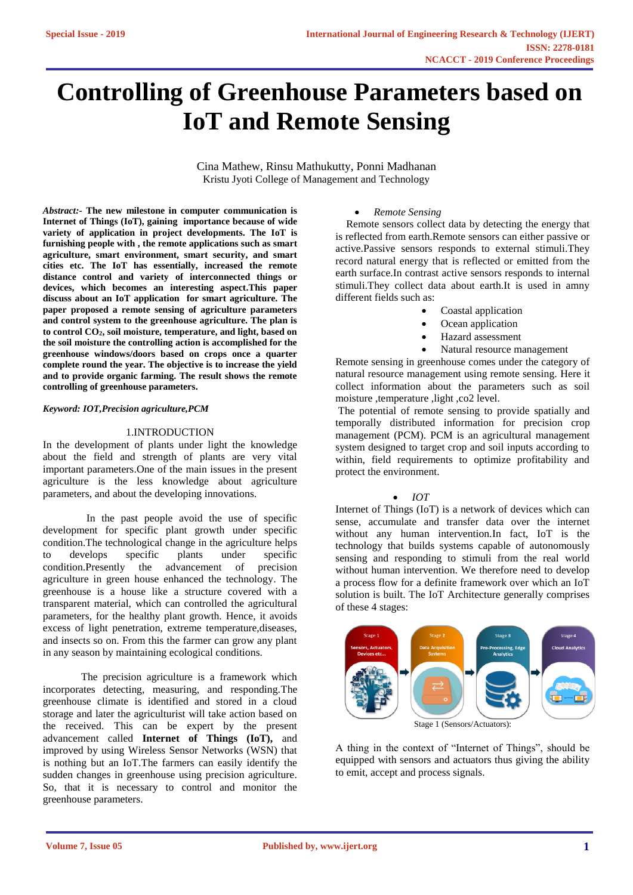# **Controlling of Greenhouse Parameters based on IoT and Remote Sensing**

Cina Mathew, Rinsu Mathukutty, Ponni Madhanan Kristu Jyoti College of Management and Technology

*Abstract:-* **The new milestone in computer communication is Internet of Things (IoT), gaining importance because of wide variety of application in project developments. The IoT is furnishing people with , the remote applications such as smart agriculture, smart environment, smart security, and smart cities etc. The IoT has essentially, increased the remote distance control and variety of interconnected things or devices, which becomes an interesting aspect.This paper discuss about an IoT application for smart agriculture. The paper proposed a remote sensing of agriculture parameters and control system to the greenhouse agriculture. The plan is to control CO2, soil moisture, temperature, and light, based on the soil moisture the controlling action is accomplished for the greenhouse windows/doors based on crops once a quarter complete round the year. The objective is to increase the yield and to provide organic farming. The result shows the remote controlling of greenhouse parameters.**

#### *Keyword: IOT,Precision agriculture,PCM*

#### 1.INTRODUCTION

In the development of plants under light the knowledge about the field and strength of plants are very vital important parameters.One of the main issues in the present agriculture is the less knowledge about agriculture parameters, and about the developing innovations.

 In the past people avoid the use of specific development for specific plant growth under specific condition.The technological change in the agriculture helps to develops specific plants under specific<br>condition.Presently the advancement of precision the advancement of precision agriculture in green house enhanced the technology. The greenhouse is a house like a structure covered with a transparent material, which can controlled the agricultural parameters, for the healthy plant growth. Hence, it avoids excess of light penetration, extreme temperature,diseases, and insects so on. From this the farmer can grow any plant in any season by maintaining ecological conditions.

The precision agriculture is a framework which incorporates detecting, measuring, and responding.The greenhouse climate is identified and stored in a cloud storage and later the agriculturist will take action based on the received. This can be expert by the present advancement called **Internet of Things (IoT),** and improved by using Wireless Sensor Networks (WSN) that is nothing but an IoT.The farmers can easily identify the sudden changes in greenhouse using precision agriculture. So, that it is necessary to control and monitor the greenhouse parameters.

#### • *Remote Sensing*

 Remote sensors collect data by detecting the energy that is reflected from earth.Remote sensors can either passive or active.Passive sensors responds to external stimuli.They record natural energy that is reflected or emitted from the earth surface.In contrast active sensors responds to internal stimuli.They collect data about earth.It is used in amny different fields such as:

- Coastal application
- Ocean application
- Hazard assessment
- Natural resource management

Remote sensing in greenhouse comes under the category of natural resource management using remote sensing. Here it collect information about the parameters such as soil moisture ,temperature ,light ,co2 level.

The potential of remote sensing to provide spatially and temporally distributed information for precision crop management (PCM). PCM is an agricultural management system designed to target crop and soil inputs according to within, field requirements to optimize profitability and protect the environment.

#### • *IOT*

Internet of Things (IoT) is a network of devices which can sense, accumulate and transfer data over the internet without any human intervention*.*In fact, IoT is the technology that builds systems capable of autonomously sensing and responding to stimuli from the real world without human intervention. We therefore need to develop a process flow for a definite framework over which an IoT solution is built. The IoT Architecture generally comprises of these 4 stages:



A thing in the context of "Internet of Things", should be equipped with sensors and actuators thus giving the ability to emit, accept and process signals.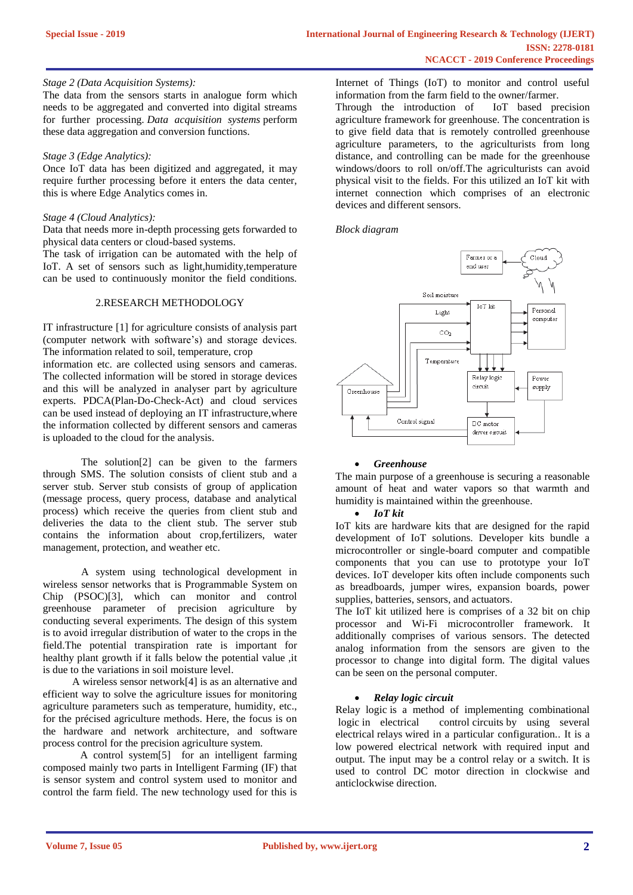#### *Stage 2 (Data Acquisition Systems):*

The data from the sensors starts in analogue form which needs to be aggregated and converted into digital streams for further processing. *Data acquisition systems* perform these data aggregation and conversion functions.

## *Stage 3 (Edge Analytics):*

Once IoT data has been digitized and aggregated, it may require further processing before it enters the data center, this is where Edge Analytics comes in.

## *Stage 4 (Cloud Analytics):*

Data that needs more in-depth processing gets forwarded to physical data centers or cloud-based systems.

The task of irrigation can be automated with the help of IoT. A set of sensors such as light,humidity,temperature can be used to continuously monitor the field conditions.

#### 2.RESEARCH METHODOLOGY

IT infrastructure [1] for agriculture consists of analysis part (computer network with software's) and storage devices. The information related to soil, temperature, crop

information etc. are collected using sensors and cameras. The collected information will be stored in storage devices and this will be analyzed in analyser part by agriculture experts. PDCA(Plan-Do-Check-Act) and cloud services can be used instead of deploying an IT infrastructure,where the information collected by different sensors and cameras is uploaded to the cloud for the analysis.

The solution[2] can be given to the farmers through SMS. The solution consists of client stub and a server stub. Server stub consists of group of application (message process, query process, database and analytical process) which receive the queries from client stub and deliveries the data to the client stub. The server stub contains the information about crop,fertilizers, water management, protection, and weather etc.

A system using technological development in wireless sensor networks that is Programmable System on Chip (PSOC)[3], which can monitor and control greenhouse parameter of precision agriculture by conducting several experiments. The design of this system is to avoid irregular distribution of water to the crops in the field.The potential transpiration rate is important for healthy plant growth if it falls below the potential value ,it is due to the variations in soil moisture level.

 A wireless sensor network[4] is as an alternative and efficient way to solve the agriculture issues for monitoring agriculture parameters such as temperature, humidity, etc., for the précised agriculture methods. Here, the focus is on the hardware and network architecture, and software process control for the precision agriculture system.

 A control system[5] for an intelligent farming composed mainly two parts in Intelligent Farming (IF) that is sensor system and control system used to monitor and control the farm field. The new technology used for this is Internet of Things (IoT) to monitor and control useful information from the farm field to the owner/farmer.

Through the introduction of IoT based precision agriculture framework for greenhouse. The concentration is to give field data that is remotely controlled greenhouse agriculture parameters, to the agriculturists from long distance, and controlling can be made for the greenhouse windows/doors to roll on/off.The agriculturists can avoid physical visit to the fields. For this utilized an IoT kit with internet connection which comprises of an electronic devices and different sensors.

*Block diagram*



## • *Greenhouse*

The main purpose of a greenhouse is securing a reasonable amount of heat and water vapors so that warmth and humidity is maintained within the greenhouse.

## • *IoT kit*

IoT kits are hardware kits that are designed for the rapid development of IoT solutions. Developer kits bundle a microcontroller or single-board computer and compatible components that you can use to prototype your IoT devices. IoT developer kits often include components such as breadboards, jumper wires, expansion boards, power supplies, batteries, sensors, and actuators.

The IoT kit utilized here is comprises of a 32 bit on chip processor and Wi-Fi microcontroller framework. It additionally comprises of various sensors. The detected analog information from the sensors are given to the processor to change into digital form. The digital values can be seen on the personal computer.

## • *Relay logic circuit*

Relay logic is a method of implementing combinational logic in electrical control circuits by using several electrical relays wired in a particular configuration.. It is a low powered electrical network with required input and output. The input may be a control relay or a switch. It is used to control DC motor direction in clockwise and anticlockwise direction.